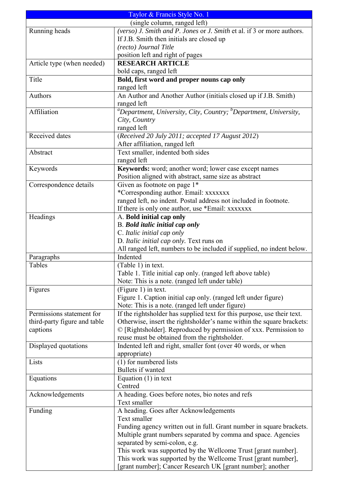|                              | Taylor & Francis Style No. 1                                                               |
|------------------------------|--------------------------------------------------------------------------------------------|
| (single column, ranged left) |                                                                                            |
| Running heads                | (verso) J. Smith and P. Jones or J. Smith et al. if 3 or more authors.                     |
|                              | If J.B. Smith then initials are closed up                                                  |
|                              | (recto) Journal Title                                                                      |
|                              | position left and right of pages                                                           |
| Article type (when needed)   | <b>RESEARCH ARTICLE</b>                                                                    |
|                              | bold caps, ranged left                                                                     |
| Title                        | Bold, first word and proper nouns cap only                                                 |
|                              | ranged left                                                                                |
| Authors                      | An Author and Another Author (initials closed up if J.B. Smith)                            |
|                              | ranged left                                                                                |
| Affiliation                  | <sup>a</sup> Department, University, City, Country; $\overline{b}$ Department, University, |
|                              | City, Country                                                                              |
|                              | ranged left                                                                                |
| Received dates               | (Received 20 July 2011; accepted 17 August 2012)                                           |
|                              | After affiliation, ranged left                                                             |
| Abstract                     | Text smaller, indented both sides                                                          |
|                              | ranged left                                                                                |
| Keywords                     | Keywords: word; another word; lower case except names                                      |
|                              | Position aligned with abstract, same size as abstract                                      |
| Correspondence details       | Given as footnote on page 1*                                                               |
|                              | *Corresponding author. Email: xxxxxxx                                                      |
|                              | ranged left, no indent. Postal address not included in footnote.                           |
|                              | If there is only one author, use *Email: xxxxxxx                                           |
| Headings                     | A. Bold initial cap only                                                                   |
|                              | <b>B.</b> Bold italic initial cap only                                                     |
|                              | C. Italic initial cap only                                                                 |
|                              | D. Italic initial cap only. Text runs on                                                   |
|                              | All ranged left, numbers to be included if supplied, no indent below.                      |
| Paragraphs                   | Indented                                                                                   |
| Tables                       | (Table 1) in text.                                                                         |
|                              | Table 1. Title initial cap only. (ranged left above table)                                 |
|                              | Note: This is a note. (ranged left under table)                                            |
| Figures                      | (Figure 1) in text.                                                                        |
|                              | Figure 1. Caption initial cap only. (ranged left under figure)                             |
|                              | Note: This is a note. (ranged left under figure)                                           |
| Permissions statement for    | If the rightsholder has supplied text for this purpose, use their text.                    |
| third-party figure and table | Otherwise, insert the rightsholder's name within the square brackets:                      |
| captions                     | © [Rightsholder]. Reproduced by permission of xxx. Permission to                           |
| Displayed quotations         | reuse must be obtained from the rightsholder.                                              |
|                              | Indented left and right, smaller font (over 40 words, or when<br>appropriate)              |
| Lists                        | $(1)$ for numbered lists                                                                   |
|                              | Bullets if wanted                                                                          |
| Equations                    | Equation $(1)$ in text                                                                     |
|                              | Centred                                                                                    |
| Acknowledgements             | A heading. Goes before notes, bio notes and refs                                           |
|                              | Text smaller                                                                               |
| Funding                      | A heading. Goes after Acknowledgements                                                     |
|                              | Text smaller                                                                               |
|                              | Funding agency written out in full. Grant number in square brackets.                       |
|                              | Multiple grant numbers separated by comma and space. Agencies                              |
|                              | separated by semi-colon, e.g.                                                              |
|                              | This work was supported by the Wellcome Trust [grant number].                              |
|                              | This work was supported by the Wellcome Trust [grant number],                              |
|                              | [grant number]; Cancer Research UK [grant number]; another                                 |
|                              |                                                                                            |